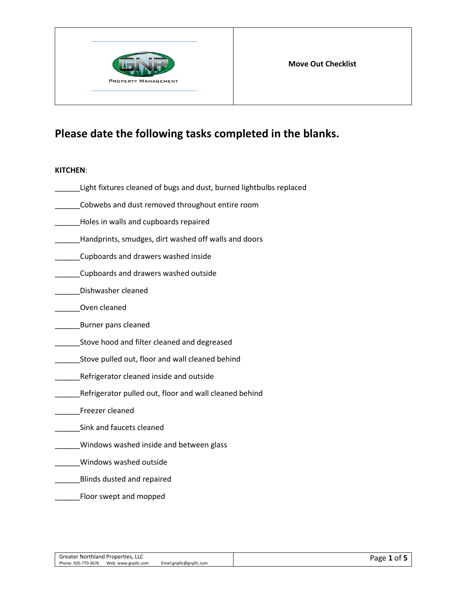

# **Please date the following tasks completed in the blanks.**

## **KITCHEN**:

| Light fixtures cleaned of bugs and dust, burned lightbulbs replaced |
|---------------------------------------------------------------------|
| Cobwebs and dust removed throughout entire room                     |
| Holes in walls and cupboards repaired                               |
| Handprints, smudges, dirt washed off walls and doors                |
| Cupboards and drawers washed inside                                 |
| Cupboards and drawers washed outside                                |
| Dishwasher cleaned                                                  |
| Oven cleaned                                                        |
| Burner pans cleaned                                                 |
| Stove hood and filter cleaned and degreased                         |
| Stove pulled out, floor and wall cleaned behind                     |
| Refrigerator cleaned inside and outside                             |
| Refrigerator pulled out, floor and wall cleaned behind              |
| Freezer cleaned                                                     |
| Sink and faucets cleaned                                            |
| Windows washed inside and between glass                             |
| Windows washed outside                                              |
| Blinds dusted and repaired                                          |
| Floor swept and mopped                                              |
|                                                                     |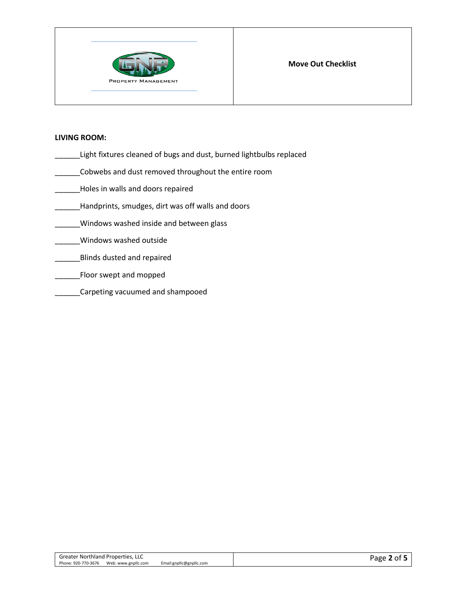

### **LIVING ROOM:**

- \_\_\_\_\_\_Light fixtures cleaned of bugs and dust, burned lightbulbs replaced
- \_\_\_\_\_\_Cobwebs and dust removed throughout the entire room
- \_\_\_\_\_\_Holes in walls and doors repaired
- \_\_\_\_\_\_Handprints, smudges, dirt was off walls and doors
- \_\_\_\_\_\_Windows washed inside and between glass
- \_\_\_\_\_\_Windows washed outside
- **EXECUTE:** Blinds dusted and repaired
- **\_\_\_\_\_Floor swept and mopped**
- \_\_\_\_\_\_Carpeting vacuumed and shampooed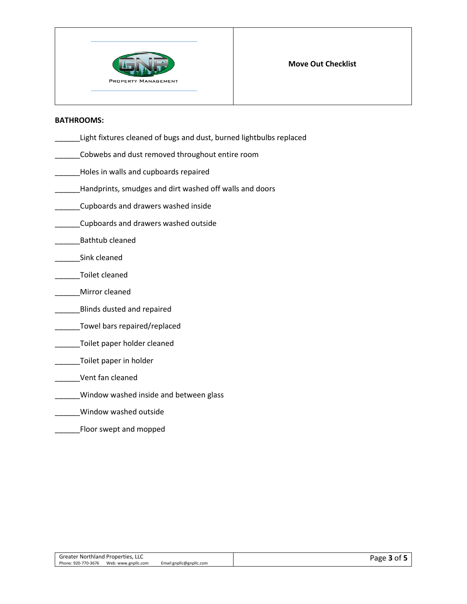

#### **BATHROOMS:**

- \_\_\_\_\_\_Light fixtures cleaned of bugs and dust, burned lightbulbs replaced
- \_\_\_\_\_\_Cobwebs and dust removed throughout entire room
- **\_\_\_\_\_\_Holes in walls and cupboards repaired**
- \_\_\_\_\_\_Handprints, smudges and dirt washed off walls and doors
- \_\_\_\_\_\_Cupboards and drawers washed inside
- \_\_\_\_\_\_Cupboards and drawers washed outside
- \_\_\_\_\_\_Bathtub cleaned
- \_\_\_\_\_\_Sink cleaned
- \_\_\_\_\_\_Toilet cleaned
- \_\_\_\_\_\_Mirror cleaned
- **\_\_\_\_\_\_\_\_\_\_Blinds dusted and repaired**
- \_\_\_\_\_\_Towel bars repaired/replaced
- \_\_\_\_\_Toilet paper holder cleaned
- \_\_\_\_\_\_Toilet paper in holder
- \_\_\_\_\_\_Vent fan cleaned
- \_\_\_\_\_\_Window washed inside and between glass
- \_\_\_\_\_\_Window washed outside
- \_\_\_\_\_\_Floor swept and mopped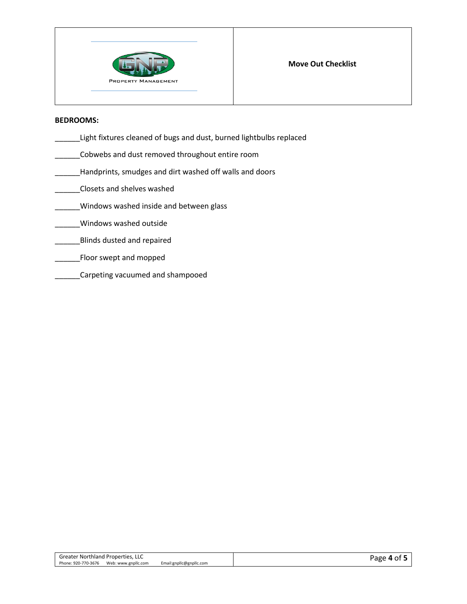

#### **BEDROOMS:**

- \_\_\_\_\_\_Light fixtures cleaned of bugs and dust, burned lightbulbs replaced
- \_\_\_\_\_\_Cobwebs and dust removed throughout entire room
- **\_\_\_\_\_Handprints, smudges and dirt washed off walls and doors**
- \_\_\_\_\_\_Closets and shelves washed
- \_\_\_\_\_\_Windows washed inside and between glass
- \_\_\_\_\_\_Windows washed outside
- \_\_\_\_\_\_Blinds dusted and repaired
- \_\_\_\_\_\_Floor swept and mopped
- \_\_\_\_\_\_Carpeting vacuumed and shampooed